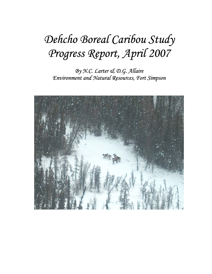# *Dehcho Boreal Caribou Study Progress Report, April 2007*

*By N.C. Larter & D.G. Allaire Environment and Natural Resources, Fort Simpson* 

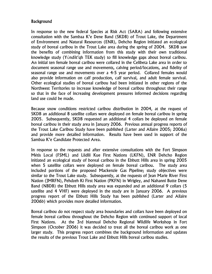### **Background**

In response to the new federal Species at Risk Act (SARA) and following extensive consultation with the Sambaa K'e Dene Band (SKDB) of Trout Lake, the Department of Environment and Natural Resources (ENR), Dehcho Region initiated an ecological study of boreal caribou in the Trout Lake area during the spring of 2004. SKDB saw the benefits of combining information from this study with their own traditional knowledge study (Yúndíit'qh TEK study) to fill knowledge gaps about boreal caribou. An initial ten female boreal caribou were collared in the Celibeta Lake area in order to document seasonal range use and movements, calving period/locations, and fidelity of seasonal range use and movements over a 4-5 year period. Collared females would also provide information on calf production, calf survival, and adult female survival. Other ecological studies of boreal caribou had been initiated in other regions of the Northwest Territories to increase knowledge of boreal caribou throughout their range so that in the face of increasing development pressures informed decisions regarding land use could be made.

Because snow conditions restricted caribou distribution in 2004, at the request of SKDB an additional 8 satellite collars were deployed on female boreal caribou in spring 2005. Subsequently, SKDB requested an additional 4 collars be deployed on female boreal caribou in their study area in January 2006. Previous annual progress reports of the Trout Lake Caribou Study have been published (Larter and Allaire 2005; 2006a) and provide more detailed information. Results have been used in support of the Sambaa K'e Candidate Protected Area.

In response to the requests and after extensive consultations with the Fort Simpson Métis Local (FSML) and Liidlii Kue First Nations (LKFN), ENR Dehcho Region initiated an ecological study of boreal caribou in the Ebbutt Hills area in spring 2005 when 5 satellite collars were deployed on female boreal caribou. The study area included portions of the proposed Mackenzie Gas Pipeline; study objectives were similar to the Trout Lake study. Subsequently, at the requests of Jean Marie River First Nation (JMRFN), Pehdzeh Ki First Nation (PKFN) in Wrigley, and Nahanni Butte Dene Band (NBDB) the Ebbutt Hills study area was expanded and an additional 9 collars (5 satellite and 4 VHF) were deployed in the study are in January 2006. A previous progress report of the Ebbutt Hills Study has been published (Larter and Allaire 2006b) which provides more detailed information.

Boreal caribou do not respect study area boundaries and collars have been deployed on female boreal caribou throughout the Dehcho Region with continued support of local First Nations. At the 3rd biannual Dehcho Regional Wildlife Workshop in Fort Simpson (October 2006) it was decided to treat all the boreal caribou work as one larger study. This progress report combines the background information and updates the results of the previous Trout Lake and Ebbutt Hills boreal caribou studies.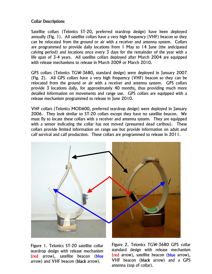### Collar Descriptions

Satellite collars (Telonics ST-20, preferred teardrop design) have been deployed annually (Fig. 1). All satellite collars have a very high frequency (VHF) beacon so they can be relocated from the ground or air with a receiver and antenna system. Collars are programmed to provide daily locations from 1 May to 14 June (the anticipated calving period) and locations once every 3 days for the remainder of the year with a life span of 3-4 years. All satellite collars deployed after March 2004 are equipped with release mechanisms to release in March 2009 or March 2010.

GPS collars (Telonics TGW-3680, standard design) were deployed in January 2007 (Fig. 2). All GPS collars have a very high frequency (VHF) beacon so they can be relocated from the ground or air with a receiver and antenna system. GPS collars provide 3 locations daily, for approximately 40 months, thus providing much more detailed information on movements and range use. GPS collars are equipped with a release mechanism programmed to release in June 2010.

VHF collars (Telonics MOD600, preferred teardrop design) were deployed in January 2006. They look similar to ST-20 collars except they have no satellite beacon. We must fly to locate these collars with a receiver and antenna system. They are equipped with a sensor indicating the collar has not moved (presumed dead caribou). These collars provide limited information on range use but provide information on adult and calf survival and calf production. These collars are programmed to release in 2011.



Figure 1. Telonics ST-20 satellite collar teardrop design with release mechanism (red arrow), satellite beacon (blue arrow) and VHF beacon (black arrow).

 Figure 2. Telonics TGW-3680 GPS collar standard design with release mechanism (red arrow), satellite beacon (blue arrow), VHF beacon (black arrow) and a GPS antenna (top of collar).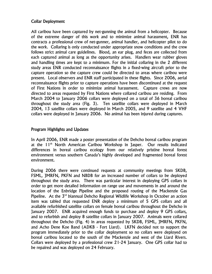## Collar Deployment

All caribou have been captured by net-gunning the animal from a helicopter. Because of the extreme danger of this work and to minimize animal harassment, ENR has contracts a professional crew of net-gunner, animal handler, and helicopter pilot to do the work. Collaring is only conducted under appropriate snow conditions and the crew follows strict animal care guidelines. Blood, an ear plug, and feces are collected from each captured animal as long as the opportunity arises. Handlers wear rubber gloves and handling times are kept to a minimum. For the initial collaring in the 2 different study areas ENR conducted reconnaissance flights in a fixed-wing aircraft prior to the capture operation so the capture crew could be directed to areas where caribou were present. Local observers and ENR staff participated in these flights. Since 2006, aerial reconnaissance flights prior to capture operations have been discontinued at the request of First Nations in order to minimize animal harassment. Capture crews are now directed to areas requested by First Nations where collared caribou are residing. From March 2004 to January 2006 collars were deployed on a total of 36 boreal caribou throughout the study area (Fig. 3). Ten satellite collars were deployed in March 2004, 13 satellite collars were deployed in March 2005, and 9 satellite and 4 VHF collars were deployed in January 2006. No animal has been injured during captures.

#### Program Highlights and Updates

In April 2006, ENR made a poster presentation of the Dehcho boreal caribou program at the 11<sup>th</sup> North American Caribou Workshop in Jasper. Our results indicated differences in boreal caribou ecology from our relatively pristine boreal forest environment versus southern Canada's highly developed and fragmented boreal forest environment.

During 2006 there were continued requests at community meetings from SKDB, FSML, JMRFN, PKFN and NBDB for an increased number of collars to be deployed throughout the study area. There was particular interest in deploying GPS collars in order to get more detailed information on range use and movements in and around the location of the Enbridge Pipeline and the proposed routing of the Mackenzie Gas Pipeline. At the 3<sup>rd</sup> biannual Dehcho Regional Wildlife Workshop in October an action item was tabled that requested ENR deploy a minimum of 5 GPS collars and all available refurbished satellite collars on female boreal caribou throughout the Dehcho in January 2007. ENR acquired enough funds to purchase and deploy 9 GPS collars, and to refurbish and deploy 8 satellite collars in January 2007. Animals were collared throughout the Dehcho (Fig. 4) in areas requested by SKDB, FSML, JMRFN, PKFN, and Acho Dene Koe Band (ADKB - Fort Liard). LKFN decided not to support the program immediately prior to the collar deployment so no collars were deployed on boreal caribou located to the south of the Mackenzie and west of the Liard Rivers. Collars were deployed by a professional crew 21-24 January. One GPS collar had to be repaired and was deployed on 24 February.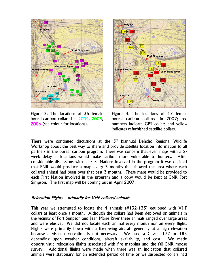

Figure 3. The locations of 36 female boreal caribou collared in 2004, 2005, 2006 (see colour for locations).



Figure 4. The locations of 17 female boreal caribou collared in 2007; red numbers indicate GPS collars and yellow indicates refurbished satellite collars.

There were continued discussions at the  $3<sup>rd</sup>$  biannual Dehcho Regional Wildlife Workshop about the best way to share and provide satellite location information to all partners in the boreal caribou program. There was concern that even maps with a 2 week delay in locations would make caribou more vulnerable to hunters. After considerable discussions with all First Nations involved in the program it was decided that ENR would produce a map every 3 months that showed the area where each collared animal had been over that past 3 months. These maps would be provided to each First Nation involved in the program and a copy would be kept at ENR Fort Simpson. The first map will be coming out in April 2007.

#### Relocation Flights – primarily for VHF collared animals

This year we attempted to locate the 4 animals (#132-135) equipped with VHF collars at least once a month. Although the collars had been deployed on animals in the vicinity of Fort Simpson and Jean Marie River these animals ranged over large areas and were elusive. We did not locate each animal every month nor on every flight. Flights were primarily flown with a fixed-wing aircraft generally at a high elevation because a visual observation is not necessary. We used a Cessna 172 or 185 depending upon weather conditions, aircraft availability, and cost. We made opportunistic relocation flights associated with fire mapping and the fall ENR moose survey. Additional flights were made when there was an indication that collared animals were stationary for an extended period of time or we suspected collars had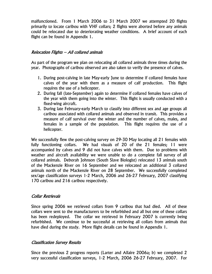malfunctioned. From 1 March 2006 to 31 March 2007 we attempted 20 flights primarily to locate caribou with VHF collars; 2 flights were aborted before any animals could be relocated due to deteriorating weather conditions. A brief account of each flight can be found in Appendix 1.

#### Relocation Flights – All collared animals

As part of the program we plan on relocating all collared animals three times during the year. Photographs of caribou observed are also taken to verify the presence of calves.

- 1. During post-calving in late May-early June to determine if collared females have calves of the year with them as a measure of calf production. This flight requires the use of a helicopter.
- 2. During fall (late-September) again to determine if collared females have calves of the year with them going into the winter. This flight is usually conducted with a fixed-wing aircraft.
- 3. During late February-early March to classify into different sex and age groups all caribou associated with collared animals and observed in transit. This provides a measure of calf survival over the winter and the number of calves, males, and females in a sample of the population. This flight requires the use of a helicopter.

We successfully flew the post-calving survey on 29-30 May locating all 21 females with fully functioning collars. We had visuals of 20 of the 21 females; 11 were accompanied by calves and 9 did not have calves with them. Due to problems with weather and aircraft availability we were unable to do a complete fall survey of all collared animals. Deborah Johnson (South Slave Biologist) relocated 13 animals south of the Mackenzie River on 16 September and we relocated an additional 3 collared animals north of the Mackenzie River on 28 September. We successfully completed sex/age classification surveys 1-2 March, 2006 and 26-27 February, 2007 classifying 170 caribou and 216 caribou respectively.

#### Collar Retrievals

Since spring 2006 we retrieved collars from 9 caribou that had died. All of these collars were sent to the manufacturers to be refurbished and all but one of these collars has been redeployed. The collar we retrieved in February 2007 is currently being refurbished. We continue to be successful at retrieving all collars from animals that have died during the study. More flight details can be found in Appendix 1.

#### Classification Survey Results

Since the previous 2 progress reports (Larter and Allaire 2006a; b) we completed 2 very successful classification surveys, 1-2 March, 2006 26-27 February, 2007. For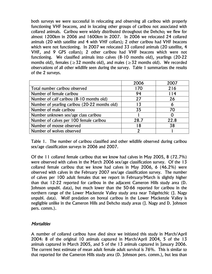both surveys we were successful in relocating and observing all caribou with properly functioning VHF beacons, and in locating other groups of caribou not associated with collared animals. Caribou were widely distributed throughout the Dehcho; we flew for almost 1200km in 2006 and 1600km in 2007. In 2006 we relocated 24 collared animals (20 with satellite and 4 with VHF collars); 2 other caribou had VHF beacons which were not functioning. In 2007 we relocated 33 collared animals (20 satellite, 4 VHF, and 9 GPS collars); 2 other caribou had VHF beacons which were not functioning. We classified animals into calves (8-10 months old), yearlings (20-22 months old), females ( $\geq$  32 months old), and males ( $\geq$  32 months old). We recorded observations of all other wildlife seen during the survey. Table 1 summarizes the results of the 2 surveys.

|                                               | 2006 | 2007 |
|-----------------------------------------------|------|------|
| Total number caribou observed                 | 170  | 216  |
| Number of female caribou                      | 94   | 114  |
| Number of calf caribou (8-10 months old)      | 27   | 26   |
| Number of yearling caribou (20-22 months old) | 13   | O    |
| Number of male caribou                        | 35   | 70   |
| Number unknown sex/age class caribou          |      |      |
| Number of calves per 100 female caribou       | 28.7 | 22.8 |
| Number of moose observed                      | 18   | 38   |
| Number of wolves observed                     |      |      |

Table 1. The number of caribou classified and other wildlife observed during caribou sex/age classification surveys in 2006 and 2007.

Of the 11 collared female caribou that we know had calves in May 2005, 8 (72.7%) were observed with calves in the March 2006 sex/age classification survey. Of the 13 collared female caribou that we know had calves in May 2006, 6 (46.2%) were observed with calves in the February 2007 sex/age classification survey. The number of calves per 100 adult females that we report in February/March is slightly higher than that 12-22 reported for caribou in the adjacent Cameron Hills study area (D. Johnson unpubl. data), but much lower than the 50-66 reported for caribou in the northern range of the Lower Mackenzie Valley study area near Tsiigehtchic (J. Nagy unpubl. data). Wolf predation on boreal caribou in the Lower Mackenzie Valley is negligible unlike in the Cameron Hills and Dehcho study areas (J. Nagy and D. Johnson pers. comm.).

### **Mortalities**

A number of collared caribou have died since we initiated this study in March/April 2004: 8 of the original 10 animals captured in March/April 2004, 5 of the 13 animals captured in March 2005, and 5 of the 13 animals captured in January 2006. The current best estimate of mean adult female adult survival is 76%. This is similar to that reported for the Cameron Hills study area (D. Johnson pers. comm.), but less than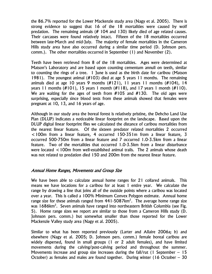the 86.7% reported for the Lower Mackenzie study area (Nagy et al. 2005). There is strong evidence to suggest that 16 of the 18 mortalities were caused by wolf predation. The remaining animals (# 104 and 130) likely died of age related causes. Their carcasses were found relatively intact. Fifteen of the 18 mortalities occurred between late-March and mid-July. The majority of female mortalities in the Cameron Hills study area have also occurred during a similar time period (D. Johnson pers. comm.). The other mortalities occurred in September (1) and November (2).

Teeth have been retrieved from 8 of the 18 mortalities. Ages were determined at Matson's Laboratory and are based upon counting cementum annuli on teeth, similar to counting the rings of a tree. 1 June is used as the birth date for caribou (Matson 1981). The youngest animal (#103) died at age 5 years 11 months. The remaining animals died at age 10 years 9 months  $(H121)$ , 11 years 11 months  $(H104)$ , 14 years 11 months (#101), 15 years 1 month (#118), and 17 years 1 month (#110). We are waiting for the ages of teeth from #105 and #130. The old ages were surprising, especially since blood tests from these animals showed that females were pregnant at 10, 13, and 16 years of age.

Although in our study area the boreal forest is relatively pristine, the Dehcho Land Use Plan (DLUP) indicates a noticeable linear footprint on the landscape. Based upon the DLUP digital linear footprint files we calculated the distance of caribou mortalities from the nearest linear feature. Of the sixteen predator related mortalities 2 occurred <100m from a linear feature, 4 occurred 150-351m from a linear feature, 3 occurred 500-750m from a linear feature and 7 occurred 1.0-3.5km from a linear feature. Two of the mortalities that occurred 1.0-3.5km from a linear disturbance were located <100m from well-established animal trails. The 2 animals whose death was not related to predation died 150 and 200m from the nearest linear feature.

#### Annual Home Ranges, Movements and Group Size

We have been able to calculate annual home ranges for 21 collared animals. This means we have locations for a caribou for at least 1 entire year. We calculate the range by drawing a line that joins all of the outside points where a caribou was located over a year. This is called a 100% Minimum Convex Polygon estimate. Annual home range size for these animals ranged from  $441$ -5087km<sup>2</sup>. The average home range size was 1686km<sup>2</sup>. Seven animals have ranged into northeastern British Columbia (see Fig. 5). Home range sizes we report are similar to those from a Cameron Hills study (D. Johnson pers. comm.) but somewhat smaller than those reported for the Lower Mackenzie Valley study area (Nagy et al. 2005).

Similar to what has been reported previously (Larter and Allaire 2006a; b) and elsewhere (Nagy et al. 2005; D. Johnson pers. comm.) female boreal caribou are widely dispersed, found in small groups (1 or 2 adult females), and have limited movements during the calving/post-calving period and throughout the summer. Movements increase and group size increases during the fall/rut (1 September  $-15$ October) as females and males are found together. During winter (16 October – 30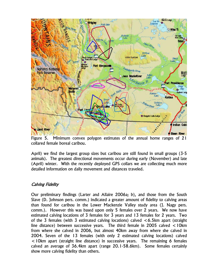

Figure 5. Minimum convex polygon estimates of the annual home ranges of 21 collared female boreal caribou.

April) we find the largest group sizes but caribou are still found in small groups (3-5 animals). The greatest directional movements occur during early (November) and late (April) winter. With the recently deployed GPS collars we are collecting much more detailed information on daily movement and distances traveled.

# Calving Fidelity

Our preliminary findings (Larter and Allaire 2006a; b), and those from the South Slave (D. Johnson pers. comm.) indicated a greater amount of fidelity to calving areas than found for caribou in the Lower Mackenzie Valley study area (J. Nagy pers. comm.). However this was based upon only 5 females over 2 years. We now have estimated calving locations of 3 females for 3 years and 13 females for 2 years. Two of the 3 females (with 3 estimated calving locations) calved  $\lt 6.5$ km apart (straight line distance) between successive years. The third female in 2005 calved  $\lt 10$ km from where she calved in 2006, but almost 40km away from where she calved in 2004. Seven of the 13 females (with only 2 estimated calving locations) calved <10km apart (straight line distance) in successive years. The remaining 6 females calved an average of 36.4km apart (range 20.1-58.6km). Some females certainly show more calving fidelity than others.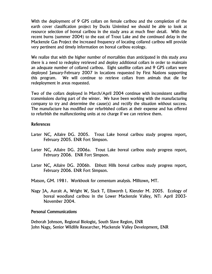With the deployment of 9 GPS collars on female caribou and the completion of the earth cover classification project by Ducks Unimited we should be able to look at resource selection of boreal caribou in the study area at much finer detail. With the recent burns (summer 2004) to the east of Trout Lake and the continued delay in the Mackenzie Gas Project the increased frequency of locating collared caribou will provide very pertinent and timely information on boreal caribou ecology.

We realize that with the higher number of mortalities than anticipated in this study area there is a need to redeploy retrieved and deploy additional collars in order to maintain an adequate number of collared caribou. Eight satellite collars and 9 GPS collars were deployed January-February 2007 in locations requested by First Nations supporting this program. We will continue to retrieve collars from animals that die for redeployment in areas requested.

Two of the collars deployed in March/April 2004 continue with inconsistent satellite transmissions during part of the winter. We have been working with the manufacturing company to try and determine the cause(s) and rectify the situation without success. The manufacture has modified our refurbished collars at their expense and has offered to refurbish the malfunctioning units at no charge if we can retrieve them.

#### References

- Larter NC, Allaire DG. 2005. Trout Lake boreal caribou study progress report, February 2005. ENR Fort Simpson.
- Larter NC, Allaire DG. 2006a. Trout Lake boreal caribou study progress report, February 2006. ENR Fort Simpson.
- Larter NC, Allaire DG. 2006b. Ebbutt Hills boreal caribou study progress report, February 2006. ENR Fort Simpson.
- Matson, GM. 1981. Workbook for cementum analysis. Milltown, MT.
- Nagy JA, Aurait A, Wright W, Slack T, Ellsworth I, Kienzler M. 2005. Ecology of boreal woodland caribou in the Lower Mackenzie Valley, NT: April 2003- November 2004.

#### Personal Communications

Deborah Johnson, Regional Biologist, South Slave Region, ENR John Nagy, Senior Wildlife Researcher, Mackenzie Valley Development, ENR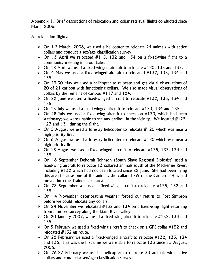Appendix 1. Brief descriptions of relocation and collar retrieval flights conducted since March 2006.

All relocation flights.

- $\triangleright$  On 1-2 March, 2006, we used a helicopter to relocate 24 animals with active collars and conduct a sex/age classification survey.
- $\geq$  On 13 April we relocated #115, 132 and 134 on a fixed-wing flight to a community meeting in Trout Lake.
- $\triangleright$  On 18 April we used a fixed-winged aircraft to relocate #120, 133 and 135.
- $\triangleright$  On 4 May we used a fixed-winged aircraft to relocated #132, 133, 134 and 135.
- $\triangleright$  On 29-30 May we used a helicopter to relocate and get visual observations of 20 of 21 caribou with functioning collars. We also made visual observations of collars by the remains of caribou #117 and 124.
- $\triangleright$  On 22 June we used a fixed-winged aircraft to relocate #132, 133, 134 and 135.
- $\triangleright$  On 13 July we used a fixed-winged aircraft to relocate #133, 134 and 135.
- $\geq$  On 28 July we used a fixed-wing aircraft to check on #130, which had been stationary; we were unable to see any caribou in the vicinity. We located #125, 127 and 131 during the flight.
- $\triangleright$  On 5 August we used a forestry helicopter to relocate #120 which was near a high priority fire.
- $\triangleright$  On 6 August we used a forestry helicopter to relocate #120 which was near a high priority fire.
- $\triangleright$  On 15 August we used a fixed-winged aircraft to relocate #125, 133, 134 and 135.
- ¾ On 16 September Deborah Johnson (South Slave Regional Biologist) used a fixed-wing aircraft to relocate 13 collared animals south of the Mackenzie River, including #132 which had not been located since 22 June. She had been flying this area because one of the animals she collared SW of the Cameron Hills had moved into the Trainor Lake area.
- $\ge$  On 28 September we used a fixed-wing aircraft to relocate #125, 132 and 135.
- $\geq$  On 14 November deteriorating weather forced our return to Fort Simpson before we could relocate any collars.
- $\ge$  On 24 November we relocated #132 and 134 on a fixed-wing flight returning from a moose survey along the Liard River valley.
- $\triangleright$  On 20 January 2007, we used a fixed-wing aircraft to relocate #132, 134 and 135.
- $\triangleright$  On 5 February we used a fixed-wing aircraft to check on a GPS collar #152 and relocated #132 en route.
- $\triangleright$  On 22 February we used a fixed-winged aircraft to relocate #132, 133, 134 and 135. This was the first time we were able to relocate 133 since 15 August, 2006.
- $\geq$  On 26-27 February we used a helicopter to relocate 33 animals with active collars and conduct a sex/age classification survey.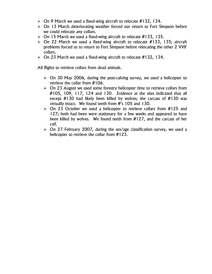- $\triangleright$  On 9 March we used a fixed-wing aircraft to relocate #132, 134.
- $\geq$  On 13 March deteriorating weather forced our return to Fort Simpson before we could relocate any collars.
- $\triangleright$  On 15 March we used a fixed-wing aircraft to relocate #133, 135.
- $\triangleright$  On 22 March we used a fixed-wing aircraft to relocate #133, 135; aircraft problems forced us to return to Fort Simpson before relocating the other 2 VHF collars.
- $\triangleright$  On 23 March we used a fixed-wing aircraft to relocate #132, 134.

All flights to retrieve collars from dead animals.

- $\geq$  On 30 May 2006, during the post-calving survey, we used a helicopter to retrieve the collar from #106.
- $\geq$  On 23 August we used some forestry helicopter time to retrieve collars from #105, 109, 117, 124 and 130. Evidence at the sites indicated that all except  $#130$  had likely been killed by wolves; the carcass of  $#130$  was virtually intact. We found teeth from #'s 105 and 130.
- $\geq$  On 23 October we used a helicopter to retrieve collars from #125 and 127; both had been were stationary for a few weeks and appeared to have been killed by wolves. We found teeth from #127, and the carcass of her calf.
- $\geq$  On 27 February 2007, during the sex/age classification survey, we used a helicopter to retrieve the collar from #123.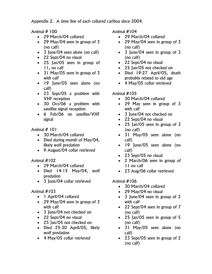Appendix 2. A time line of each collared caribou since 2004.

Animal # 100

- 29 March/04 collared
- 29 May/04 seen in group of 3 (no calf)
- 3 June/04 seen alone (no calf)
- 22 Sept/04 no visual
- 25 Jan/05 seen in group of 11, no calf
- 31 May/05 seen in group of 3 with calf
- 19 June/05 seen alone (no calf)
- 23 Sept/05 a problem with VHF reception
- 30 Oct/06 a problem with satellite signal reception
- 6 Feb/06 no satellite/VHF signal

Animal # 101

- 30 March/04 collared
- Died during month of May/04, likely wolf predation
- 9 August/04 collar retrieved

Animal #102

- 29 March/04 collared
- Died 14-15 May/04, wolf predation
- 3 June/04 collar retrieved

# Animal #103

- 1 April/04 collared
- 29 May/04 seen in group of 3 with calf
- 3 June/04 not checked on
- 22 Sept/04 no visual
- 25 Jan/05 not checked on
- Died 25-30 April/05, likely wolf predation
- 4 May/05 collar retrieved

Animal #104

- 29 March/04 collared
- 29 May/04 seen in group of 3 (no calf)
- 3 June/04 seen in group of 3 (no calf)
- 22 Sept/04 no visual
- 25 Jan/05 not checked on
- Died 19-27 April/05, death probably related to old age
- 4 May/05 collar retrieved

# Animal #105

- 30 March/04 collared
- 29 May seen in group of 3 with calf
- 3 June/04 not checked on
- 22 Sept/04 no visual
- 25 Jan/05 seen in group of 3 (no calf)
- 31 May/05 seen alone (no calf)
- 19 June/05 seen alone (no calf)
- 23 Sept/05 no visual
- 2 March/06 seen in group of 11 no calf
- 23 Aug/06 collar retrieved

- 30 March/04 collared
- 29 May/04 no visual
- 3 June/04 seen in group of 2 with calf
- 22 Sept/04 seen in group of 7 (no calf)
- 25 Jan/05 seen in group of 5 (no calf)
- 31 May/05 seen alone (no calf)
- 23 Sept/05 seen in group of 2 (no calf)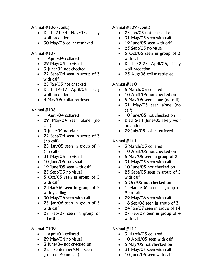Animal #106 (cont.)

- Died 21-24 Nov/05, likely wolf predation
- 30 May/06 collar retrieved

#### Animal #107

- 1 April/04 collared
- 29 May/04 no visual
- 3 June/04 not checked
- 22 Sept/04 seen in group of 3 with calf
- 25 Jan/05 not checked
- Died 14-17 April/05 likely wolf predation
- 4 May/05 collar retrieved

#### Animal #108

- 1 April/04 collared
- 29 May/04 seen alone (no calf)
- 3 June/04 no visual
- 22 Sept/04 seen in group of 3 (no calf)
- 25 Jan/05 seen in group of 4 (no calf)
- 31 May/05 no visual
- 10 June/05 no visual
- 19 June/05 seen with calf
- 23 Sept/05 no visual
- 5 Oct/05 seen in group of 5 with calf
- 2 Mar/06 seen in group of 3 with yearling
- 30 May/06 seen with calf
- 23 Jan/06 seen in group of 5 with calf
- 27 Feb/07 seen in group of 11with calf

Animal #109

- 1 April/04 collared
- 29 May/04 no visual
- 3 June/04 not checked on
- 22 September/04 seen in group of 4 (no calf)

Animal #109 (cont.)

- 25 Jan/05 not checked on
- 31 May/05 seen with calf
- 19 June/05 seen with calf
- 23 Sept/05 no visual
- 5 Oct/05 seen in group of 3 with calf
- Died 22-25 April/06, likely wolf predation
- 23 Aug/06 collar retrieved

## Animal #110

- 5 March/05 collared
- 10 April/05 not checked on
- 5 May/05 seen alone (no calf)
- 31 May/05 seen alone (no calf)
- 10 June/05 not checked on
- Died 5-11 June/05 likely wolf predation
- 29 July/05 collar retrieved

### Animal #111

- 3 March/05 collared
- 10 April/05 not checked on
- 5 May/05 seen in group of 2
- 31 May/05 seen with calf
- 10 June/05 not checked on
- 23 Sept/05 seen in group of 5 with calf
- 5 Oct/05 not checked on
- 1 March/06 seen in group of 9 no calf
- 29 May/06 seen with calf
- 16 Sep/06 seen in group of 3
- 24 Jan/07 seen in group of 14
- 27 Feb/07 seen in group of 4 with calf

- 3 March/05 collared
- 10 April/05 seen with calf
- 5 May/05 not checked on
- 31 May/05 seen with calf
- 10 June/05 seen with calf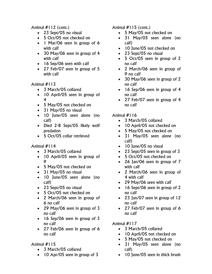Animal #112 (cont.)

- 23 Sept/05 no visual
- 5 Oct/05 not checked on
- 1 Mar/06 seen in group of 6 with calf
- 30 May/06 seen in group of 4 with calf
- 16 Sep/06 seen with calf
- 27 Feb/07 seen in group of 5 with calf

Animal #113

- 3 March/05 collared
- 10 April/05 seen in group of 4
- 5 May/05 not checked on
- 31 May/05 no visual
- 10 June/05 seen alone (no calf)
- Died 2-8 Sept/05 likely wolf predation
- 5 Oct/05 collar retrieved

# Animal #114

- 3 March/05 collared
- 10 April/05 seen in group of 9
- 5 May/05 not checked on
- 31 May/05 no visual
- 10 June/05 seen alone (no calf)
- 23 Sept/05 no visual
- 5 Oct/05 not checked on
- 2 March/06 seen in group of 6 no calf
- 29 May/06 seen in group of 3 no calf
- 16 Sep/06 seen in group of 3 no calf
- 27 Feb/06 seen in group of 6 no calf

# Animal #115

- 3 March/05 collared
- 10 Apr/05 seen in group of 3

Animal  $#115$  (cont.)

- 5 May/05 not checked on
- 31 May/05 seen alone (no calf)
- 10 June/05 not checked on
- 23 Sept/05 no visual
- 5 Oct/05 seen in group of 2 no calf
- 2 March/06 seen in group of 9 no calf
- 30 May/06 seen in group of 2 no calf
- 16 Sep/06 seen in group of 4 no calf
- 27 Feb/07 seen in group of 4 no calf

# Animal #116

- 3 March/05 collared
- 10 April/05 not checked on
- 5 May/05 not checked on
- 31 May/05 seen alone (no calf)
- 10 June/05 no visual
- 23 Sept/05 seen in group of 3
- 5 Oct/05 not checked on
- 26 Jan/06 seen in group of 7 with calf
- 2 March/06 seen in group of 4 with calf
- 29 May/06 seen with calf
- 16 Sept/06 seen in group of 2 no calf
- 23 Jan/07 seen in group of 12 no calf
- 27 Feb/07 seen in group of 6 no calf

- 3 March/05 collared
- 10 April/05 not checked on
- 5 May/05 not checked on
- 31 May/05 seen alone (no calf)
- 10 June/05 seen in thick brush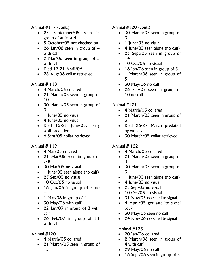Animal #117 (cont.)

- 23 September/05 seen in group of at least 4
- 5 October/05 not checked on
- 26 Jan/06 seen in group of 4 with calf
- 2 Mar/06 seen in group of 5 with calf
- Died 17-21 April/06
- 28 Aug/06 collar retrieved

# Animal # 118

- 4 March/05 collared
- 21 March/05 seen in group of 10
- 30 March/05 seen in group of 9
- 1 June/05 no visual
- 4 June/05 no visual
- Died 15-21 June/05, likely wolf predation
- 6 Sept/05 collar retrieved

# Animal # 119

- 4 Mar/05 collared
- 21 Mar/05 seen in group of ≥8
- 30 Mar/05 no visual
- 1 June/05 seen alone (no calf)
- 23 Sep/05 no visual
- 10 Oct/05 no visual
- 16 Jan/06 in group of 5 no calf
- 1 Mar/06 in group of 4
- 30 May/06 with calf
- 22 Jan/07 in group of 3 with calf
- 26 Feb/07 in group of 11 with calf

# Animal #120

- 4 March/05 collared
- 21 March/05 seen in group of 13

# Animal #120 (cont.)

- 30 March/05 seen in group of 3
- 1 June/05 no visual
- 4 June/05 seen alone (no calf)
- 23 Sept/05 seen in group of 14
- 10 Oct/05 no visual
- 16 Jan/06 seen in group of 3
- 1 March/06 seen in group of 5
- 30 May/06 no calf
- 26 Feb/07 seen in group of 10 no calf

# Animal #121

- 4 March/05 collared
- 21 March/05 seen in group of 3
- Died 26-27 March predated by wolves
- 30 March/05 collar retrieved

# Animal # 122

- 4 March/05 collared
- 21 March/05 seen in group of 3
- 30 March/05 seen in group of 3
- 1 June/05 seen alone (no calf)
- 4 June/05 no visual
- 23 Sep/05 no visual
- 10 Oct/05 no visual
- 31 Nov/05 no satellite signal
- 4 April/05 got satellite signal back
- 30 May/05 seen no calf
- 24 Nov/06 no satellite signal

- 20 Jan/06 collared
- 2 March/06 seen in group of 4 with calf
- 29 May/06 no calf
- 16 Sept/06 seen in group of 3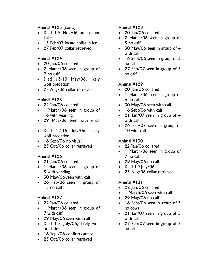Animal #123 (cont.)

- Died 1-5 Nov/06 on Trainor Lake
- 15 Feb/07 locate collar in ice
- 27 Feb/07 collar retrieved

## Animal #124

- 20 Jan/06 collared
- 2 March/06 seen in group of 7 no calf
- Died 13-19 May/06, likely wolf predation
- 23 Aug/06 collar retrieved

## Animal #125

- 22 Jan/06 collared
- 1 March/06 seen in group of 16 with yearling
- 29 May/06 seen with small calf
- Died 12-15 July/06, likely wolf predation
- 16 Sept/06 no visual
- 23 Oct/06 collar retrieved

# Animal #126

- 21 Jan/06 collared
- 1 March/06 seen in group of 5 with yearling
- 30 May/06 seen with calf
- 26 Feb/06 seen in group of 13 no calf

# Animal #127

- 22 Jan/06 collared
- 1 March/06 seen in group of 7 with calf
- 29 May/06 seen with calf
- Died 1-5 July/06, likely wolf predation
- 16 Sept/06 confirm carcass
- 23 Oct/06 collar retrieved

Animal #128

- 20 Jan/06 collared
- 2 March/06 seen in group of 5 no calf
- 30 May/06 seen in group of 4 with calf
- 16 Sept/06 seen in group of 3 no calf
- 27 Feb/07 seen in group of 5 no calf

# Animal #129

- 20 Jan/06 collared
- 1 March/06 seen in group of 6 no calf
- 30 May/06 seen with calf
- 16 Sept/06 with calf
- 21 Jan/07 seen in group of 4 with calf
- 26 Feb/07 seen in group of 10 with calf

# Animal #130

- 22 Jan/06 collared
- 1 March/06 seen in group of 7 no calf
- 29 May/06 no calf
- Died 1-7July/06
- 23 Aug/06 collar retrieved

- 22 Jan/06 collared
- 1 March/06 seen with calf
- 29 May/06 no calf
- 16 Sept/06 seen in group of 3 no cows
- 21 Jan/07 seen in group of 5 with calf
- 27 Feb/07 seen in group of 5 no calf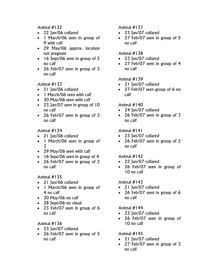Animal #132

- 22 Jan/06 collared
- 1 March/06 seen in group of 9 with calf
- 29 May/06 approx. location not pregnant
- 16 Sept/06 seen in group of 2 no calf
- 26 Feb/07 seen in group of 3 no calf

Animal #133

- 21 Jan/06 collared
- 1 March/06 seen with calf
- 30 May/06 seen with calf
- 23 Jan/07 seen in group of 10 no calf
- 26 Feb/07 seen in group of 3 no calf

Animal #134

- 21 Jan/06 collared
- 1 March/06 seen in group of 3
- 29 May/06 seen with calf
- 16 Sept/06 seen in group of 4
- 26 Feb/07 seen in group of 2 no calf

Animal #135

- 21 Jan/06 collared
- 1 March/06 seen in group of 4 no calf
- 30 May/06 no calf
- 28 Sept/06 no visual
- 23 Feb/07 seen in group of 6 no calf

Animal #136

- 23 Jan/07 collared
- 26 Feb/07 seen in group of 5 no calf

Animal #137

- 23 Jan/07 collared
- 27 Feb/07 seen in group of 5 no calf

## Animal #138

- 23 Jan/07 collared
- 27 Feb/07 seen in group of 4 no calf

# Animal #139

- 21 Jan/07 collared
- 27 Feb/07 seen group of 6 no calf

# Animal #140

- 24 Jan/07 collared
- 26 Feb/07 seen in group of 3 no calf

# Animal #141

- 23 Jan/07 collared
- 26 Feb/07 seen in group of 2 no calf

# Animal #142

- 22 Jan/07 collared
- 26 Feb/07 seen in group of 10 no calf

# Animal #143

- 21 Jan/07 collared
- 26 Feb/07 seen in group of 6 no calf

# Animal #144

- 23 Jan/07 collared
- 26 Feb/07 seen in group of 10 no calf

- 21 Jan/07 collared
- 27 Feb/07 seen in group of 3 no calf